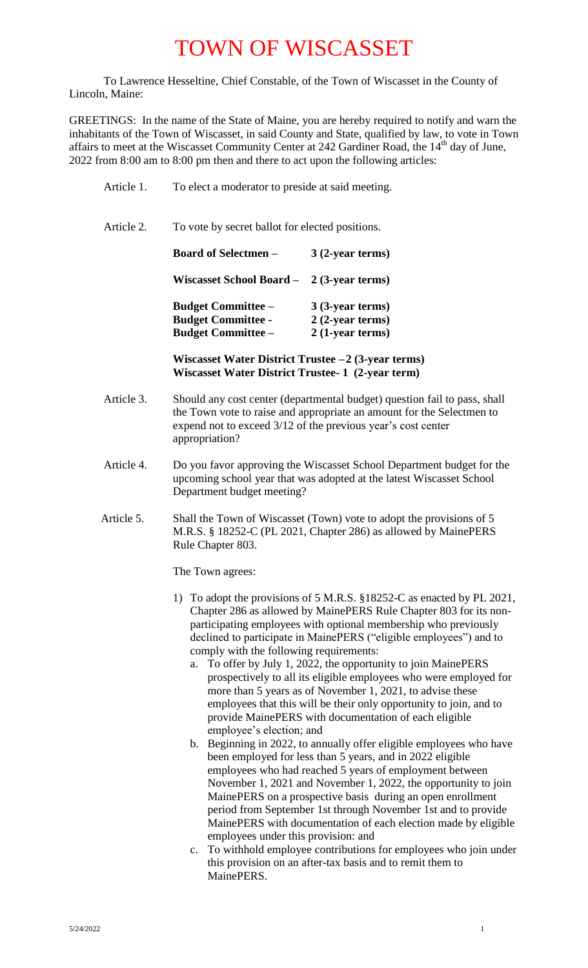To Lawrence Hesseltine, Chief Constable, of the Town of Wiscasset in the County of Lincoln, Maine:

GREETINGS: In the name of the State of Maine, you are hereby required to notify and warn the inhabitants of the Town of Wiscasset, in said County and State, qualified by law, to vote in Town affairs to meet at the Wiscasset Community Center at 242 Gardiner Road, the 14<sup>th</sup> day of June, 2022 from 8:00 am to 8:00 pm then and there to act upon the following articles:

| Article 1. | To elect a moderator to preside at said meeting.                                                          |                                                                                                                                                                                                                    |  |
|------------|-----------------------------------------------------------------------------------------------------------|--------------------------------------------------------------------------------------------------------------------------------------------------------------------------------------------------------------------|--|
| Article 2. | To vote by secret ballot for elected positions.                                                           |                                                                                                                                                                                                                    |  |
|            | <b>Board of Selectmen –</b>                                                                               | $3(2$ -year terms)                                                                                                                                                                                                 |  |
|            | Wiscasset School Board $-2$ (3-year terms)                                                                |                                                                                                                                                                                                                    |  |
|            | Budget Committee – 3 (3-year terms)                                                                       |                                                                                                                                                                                                                    |  |
|            | <b>Budget Committee - 2 (2-year terms)</b>                                                                |                                                                                                                                                                                                                    |  |
|            | <b>Budget Committee –</b>                                                                                 | $2(1-year terms)$                                                                                                                                                                                                  |  |
|            | Wiscasset Water District Trustee $-2$ (3-year terms)<br>Wiscasset Water District Trustee- 1 (2-year term) |                                                                                                                                                                                                                    |  |
| Article 3. | appropriation?                                                                                            | Should any cost center (departmental budget) question fail to pass, shall<br>the Town vote to raise and appropriate an amount for the Selectmen to<br>expend not to exceed 3/12 of the previous year's cost center |  |

- Article 4. Do you favor approving the Wiscasset School Department budget for the upcoming school year that was adopted at the latest Wiscasset School Department budget meeting?
- Article 5. Shall the Town of Wiscasset (Town) vote to adopt the provisions of 5 M.R.S. § 18252-C (PL 2021, Chapter 286) as allowed by MainePERS Rule Chapter 803.

The Town agrees:

- 1) To adopt the provisions of 5 M.R.S. §18252-C as enacted by PL 2021, Chapter 286 as allowed by MainePERS Rule Chapter 803 for its nonparticipating employees with optional membership who previously declined to participate in MainePERS ("eligible employees") and to comply with the following requirements:
	- a. To offer by July 1, 2022, the opportunity to join MainePERS prospectively to all its eligible employees who were employed for more than 5 years as of November 1, 2021, to advise these employees that this will be their only opportunity to join, and to provide MainePERS with documentation of each eligible employee's election; and
	- b. Beginning in 2022, to annually offer eligible employees who have been employed for less than 5 years, and in 2022 eligible employees who had reached 5 years of employment between November 1, 2021 and November 1, 2022, the opportunity to join MainePERS on a prospective basis during an open enrollment period from September 1st through November 1st and to provide MainePERS with documentation of each election made by eligible employees under this provision: and
	- c. To withhold employee contributions for employees who join under this provision on an after-tax basis and to remit them to MainePERS.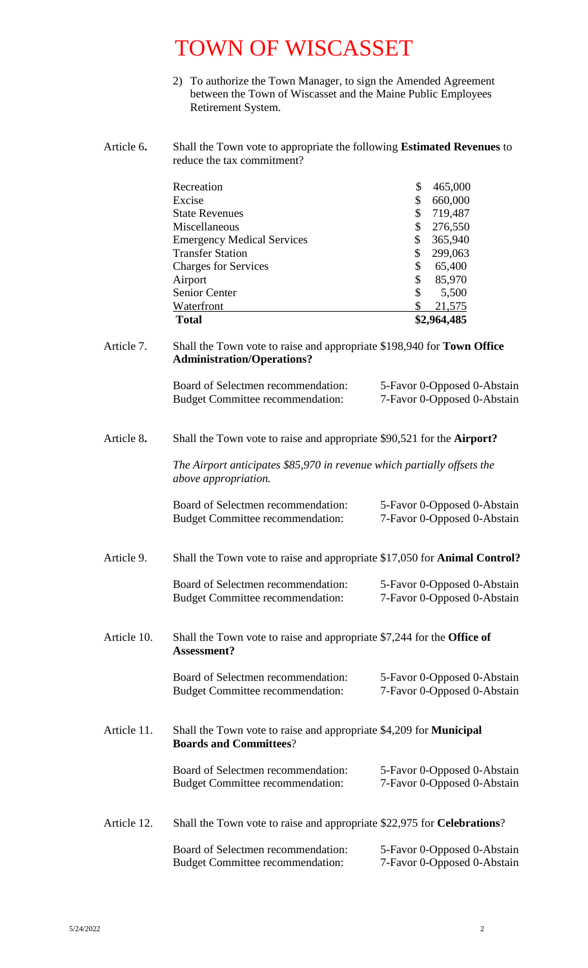- 2) To authorize the Town Manager, to sign the Amended Agreement between the Town of Wiscasset and the Maine Public Employees Retirement System.
- Article 6**.** Shall the Town vote to appropriate the following **Estimated Revenues** to reduce the tax commitment?

| Recreation                        | \$<br>465,000 |
|-----------------------------------|---------------|
| Excise                            | 660,000       |
| <b>State Revenues</b>             | 719,487       |
| Miscellaneous                     | 276,550       |
| <b>Emergency Medical Services</b> | 365,940       |
| <b>Transfer Station</b>           | 299,063       |
| <b>Charges for Services</b>       | \$<br>65,400  |
| Airport                           | \$<br>85,970  |
| Senior Center                     | \$<br>5,500   |
| Waterfront                        | 21,575        |
| <b>Total</b>                      | \$2,964,485   |

#### Article 7. Shall the Town vote to raise and appropriate \$198,940 for **Town Office Administration/Operations?**

| Board of Selectmen recommendation:      | 5-Favor 0-Opposed 0-Abstain |
|-----------------------------------------|-----------------------------|
| <b>Budget Committee recommendation:</b> | 7-Favor 0-Opposed 0-Abstain |

#### Article 8**.** Shall the Town vote to raise and appropriate \$90,521 for the **Airport?**

*The Airport anticipates \$85,970 in revenue which partially offsets the above appropriation.*

| Board of Selectmen recommendation:      | 5-Favor 0-Opposed 0-Abstain |
|-----------------------------------------|-----------------------------|
| <b>Budget Committee recommendation:</b> | 7-Favor 0-Opposed 0-Abstain |

### Article 9.Shall the Town vote to raise and appropriate \$17,050 for **Animal Control?**

| Board of Selectmen recommendation:      | 5-Favor 0-Opposed 0-Abstain |
|-----------------------------------------|-----------------------------|
| <b>Budget Committee recommendation:</b> | 7-Favor 0-Opposed 0-Abstain |

#### Article 10. Shall the Town vote to raise and appropriate \$7,244 for the **Office of Assessment?**

| Board of Selectmen recommendation:      | 5-Favor 0-Opposed 0-Abstain |
|-----------------------------------------|-----------------------------|
| <b>Budget Committee recommendation:</b> | 7-Favor 0-Opposed 0-Abstain |

Article 11. Shall the Town vote to raise and appropriate \$4,209 for **Municipal Boards and Committees**?

| Board of Selectmen recommendation:      | 5-Favor 0-Opposed 0-Abstain |
|-----------------------------------------|-----------------------------|
| <b>Budget Committee recommendation:</b> | 7-Favor 0-Opposed 0-Abstain |

Article 12. Shall the Town vote to raise and appropriate \$22,975 for **Celebrations**?

| Board of Selectmen recommendation: | 5-Favor 0-Opposed 0-Abstain |
|------------------------------------|-----------------------------|
| Budget Committee recommendation:   | 7-Favor 0-Opposed 0-Abstain |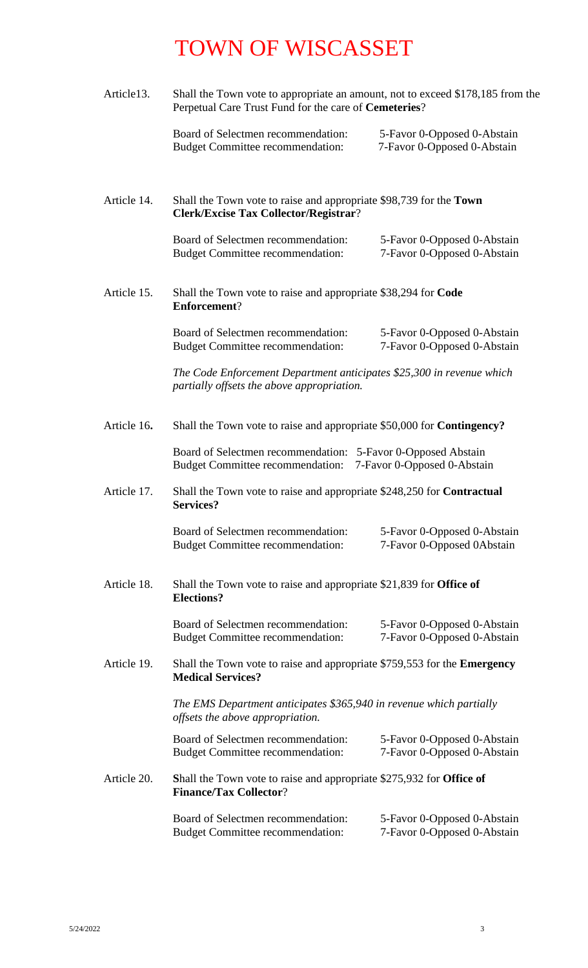| Article13.  | Shall the Town vote to appropriate an amount, not to exceed \$178,185 from the<br>Perpetual Care Trust Fund for the care of Cemeteries? |                                                            |  |
|-------------|-----------------------------------------------------------------------------------------------------------------------------------------|------------------------------------------------------------|--|
|             | Board of Selectmen recommendation:<br><b>Budget Committee recommendation:</b>                                                           | 5-Favor 0-Opposed 0-Abstain<br>7-Favor 0-Opposed 0-Abstain |  |
| Article 14. | Shall the Town vote to raise and appropriate \$98,739 for the Town<br><b>Clerk/Excise Tax Collector/Registrar?</b>                      |                                                            |  |
|             | Board of Selectmen recommendation:<br><b>Budget Committee recommendation:</b>                                                           | 5-Favor 0-Opposed 0-Abstain<br>7-Favor 0-Opposed 0-Abstain |  |
| Article 15. | Shall the Town vote to raise and appropriate \$38,294 for Code<br><b>Enforcement?</b>                                                   |                                                            |  |
|             | Board of Selectmen recommendation:<br><b>Budget Committee recommendation:</b>                                                           | 5-Favor 0-Opposed 0-Abstain<br>7-Favor 0-Opposed 0-Abstain |  |
|             | The Code Enforcement Department anticipates \$25,300 in revenue which<br>partially offsets the above appropriation.                     |                                                            |  |
| Article 16. | Shall the Town vote to raise and appropriate \$50,000 for <b>Contingency?</b>                                                           |                                                            |  |
|             | Board of Selectmen recommendation: 5-Favor 0-Opposed Abstain<br>Budget Committee recommendation: 7-Favor 0-Opposed 0-Abstain            |                                                            |  |
| Article 17. | Shall the Town vote to raise and appropriate \$248,250 for <b>Contractual</b><br><b>Services?</b>                                       |                                                            |  |
|             | Board of Selectmen recommendation:<br><b>Budget Committee recommendation:</b>                                                           | 5-Favor 0-Opposed 0-Abstain<br>7-Favor 0-Opposed 0Abstain  |  |
| Article 18. | Shall the Town vote to raise and appropriate \$21,839 for <b>Office of</b><br><b>Elections?</b>                                         |                                                            |  |
|             | Board of Selectmen recommendation:<br><b>Budget Committee recommendation:</b>                                                           | 5-Favor 0-Opposed 0-Abstain<br>7-Favor 0-Opposed 0-Abstain |  |
| Article 19. | Shall the Town vote to raise and appropriate \$759,553 for the <b>Emergency</b><br><b>Medical Services?</b>                             |                                                            |  |
|             | The EMS Department anticipates \$365,940 in revenue which partially<br>offsets the above appropriation.                                 |                                                            |  |
|             | Board of Selectmen recommendation:<br><b>Budget Committee recommendation:</b>                                                           | 5-Favor 0-Opposed 0-Abstain<br>7-Favor 0-Opposed 0-Abstain |  |
| Article 20. | Shall the Town vote to raise and appropriate \$275,932 for Office of<br><b>Finance/Tax Collector?</b>                                   |                                                            |  |
|             | Board of Selectmen recommendation:<br><b>Budget Committee recommendation:</b>                                                           | 5-Favor 0-Opposed 0-Abstain<br>7-Favor 0-Opposed 0-Abstain |  |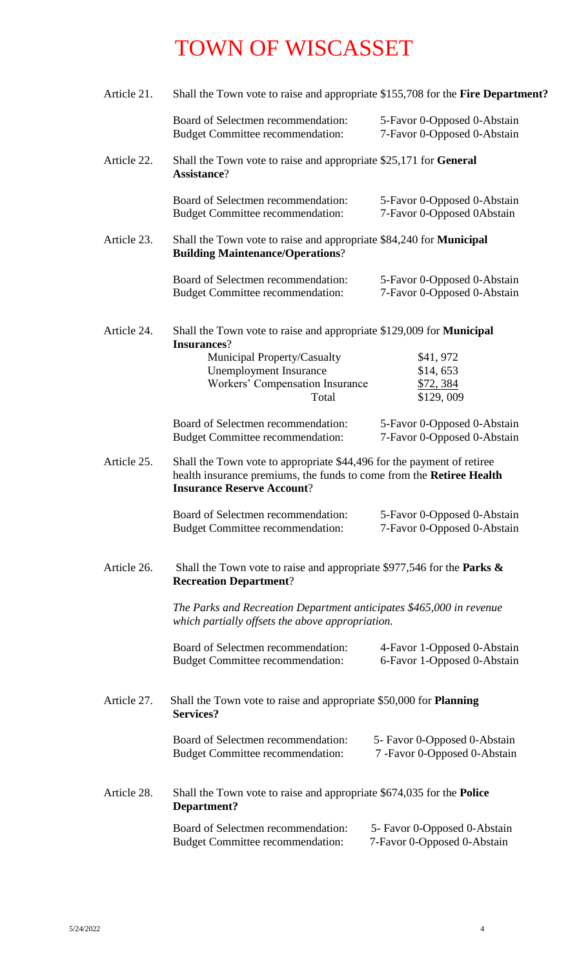| Article 21. | Shall the Town vote to raise and appropriate \$155,708 for the Fire Department?                                                                                                     |                                                               |  |
|-------------|-------------------------------------------------------------------------------------------------------------------------------------------------------------------------------------|---------------------------------------------------------------|--|
|             | Board of Selectmen recommendation:<br><b>Budget Committee recommendation:</b>                                                                                                       | 5-Favor 0-Opposed 0-Abstain<br>7-Favor 0-Opposed 0-Abstain    |  |
| Article 22. | Shall the Town vote to raise and appropriate \$25,171 for General<br>Assistance?                                                                                                    |                                                               |  |
|             | Board of Selectmen recommendation:<br><b>Budget Committee recommendation:</b>                                                                                                       | 5-Favor 0-Opposed 0-Abstain<br>7-Favor 0-Opposed 0Abstain     |  |
| Article 23. | Shall the Town vote to raise and appropriate \$84,240 for Municipal<br><b>Building Maintenance/Operations?</b>                                                                      |                                                               |  |
|             | Board of Selectmen recommendation:<br><b>Budget Committee recommendation:</b>                                                                                                       | 5-Favor 0-Opposed 0-Abstain<br>7-Favor 0-Opposed 0-Abstain    |  |
| Article 24. | Shall the Town vote to raise and appropriate \$129,009 for <b>Municipal</b><br><b>Insurances?</b>                                                                                   |                                                               |  |
|             | Municipal Property/Casualty                                                                                                                                                         | \$41,972                                                      |  |
|             | <b>Unemployment Insurance</b>                                                                                                                                                       | \$14,653                                                      |  |
|             | Workers' Compensation Insurance                                                                                                                                                     | \$72,384                                                      |  |
|             | Total                                                                                                                                                                               | \$129,009                                                     |  |
|             | Board of Selectmen recommendation:<br><b>Budget Committee recommendation:</b>                                                                                                       | 5-Favor 0-Opposed 0-Abstain<br>7-Favor 0-Opposed 0-Abstain    |  |
| Article 25. | Shall the Town vote to appropriate \$44,496 for the payment of retiree<br>health insurance premiums, the funds to come from the Retiree Health<br><b>Insurance Reserve Account?</b> |                                                               |  |
|             | Board of Selectmen recommendation:<br><b>Budget Committee recommendation:</b>                                                                                                       | 5-Favor 0-Opposed 0-Abstain<br>7-Favor 0-Opposed 0-Abstain    |  |
| Article 26. | Shall the Town vote to raise and appropriate \$977,546 for the Parks $\&$<br><b>Recreation Department?</b>                                                                          |                                                               |  |
|             | The Parks and Recreation Department anticipates \$465,000 in revenue<br>which partially offsets the above appropriation.                                                            |                                                               |  |
|             | Board of Selectmen recommendation:<br><b>Budget Committee recommendation:</b>                                                                                                       | 4-Favor 1-Opposed 0-Abstain<br>6-Favor 1-Opposed 0-Abstain    |  |
| Article 27. | Shall the Town vote to raise and appropriate \$50,000 for <b>Planning</b><br><b>Services?</b>                                                                                       |                                                               |  |
|             | Board of Selectmen recommendation:<br><b>Budget Committee recommendation:</b>                                                                                                       | 5- Favor 0-Opposed 0-Abstain<br>7 - Favor 0-Opposed 0-Abstain |  |
| Article 28. | Shall the Town vote to raise and appropriate \$674,035 for the <b>Police</b><br>Department?                                                                                         |                                                               |  |
|             | Board of Selectmen recommendation:<br><b>Budget Committee recommendation:</b>                                                                                                       | 5- Favor 0-Opposed 0-Abstain<br>7-Favor 0-Opposed 0-Abstain   |  |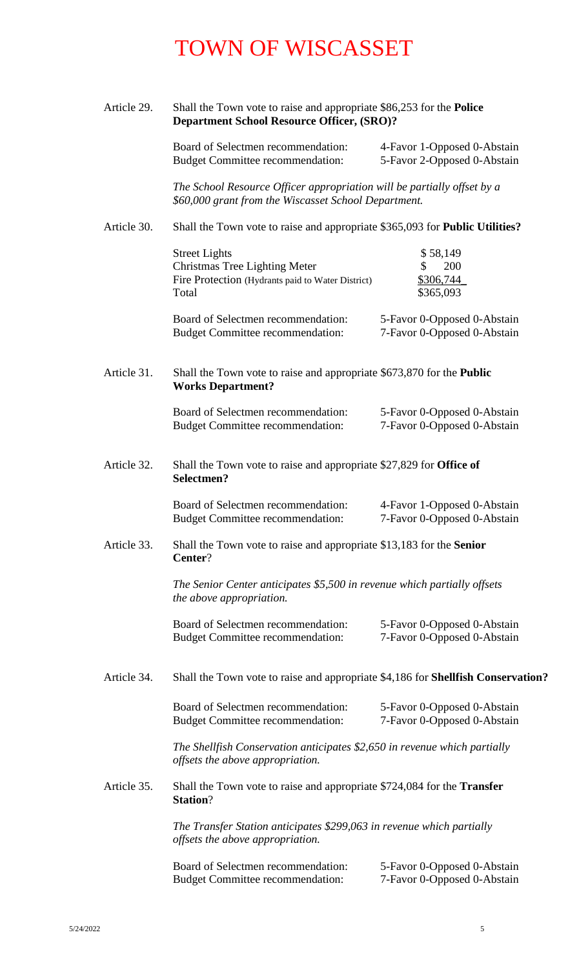| Article 29.<br>Shall the Town vote to raise and appropriate \$86,253 for the <b>Police</b><br><b>Department School Resource Officer, (SRO)?</b> |                                                                                                                                 |                                                            |  |
|-------------------------------------------------------------------------------------------------------------------------------------------------|---------------------------------------------------------------------------------------------------------------------------------|------------------------------------------------------------|--|
|                                                                                                                                                 | Board of Selectmen recommendation:<br><b>Budget Committee recommendation:</b>                                                   | 4-Favor 1-Opposed 0-Abstain<br>5-Favor 2-Opposed 0-Abstain |  |
|                                                                                                                                                 | The School Resource Officer appropriation will be partially offset by a<br>\$60,000 grant from the Wiscasset School Department. |                                                            |  |
| Article 30.                                                                                                                                     | Shall the Town vote to raise and appropriate \$365,093 for <b>Public Utilities?</b>                                             |                                                            |  |
|                                                                                                                                                 | <b>Street Lights</b><br><b>Christmas Tree Lighting Meter</b><br>Fire Protection (Hydrants paid to Water District)<br>Total      | \$58,149<br>200<br>\$<br>\$306,744<br>\$365,093            |  |
|                                                                                                                                                 | Board of Selectmen recommendation:<br><b>Budget Committee recommendation:</b>                                                   | 5-Favor 0-Opposed 0-Abstain<br>7-Favor 0-Opposed 0-Abstain |  |
| Article 31.                                                                                                                                     | Shall the Town vote to raise and appropriate \$673,870 for the <b>Public</b><br><b>Works Department?</b>                        |                                                            |  |
|                                                                                                                                                 | Board of Selectmen recommendation:<br><b>Budget Committee recommendation:</b>                                                   | 5-Favor 0-Opposed 0-Abstain<br>7-Favor 0-Opposed 0-Abstain |  |
| Article 32.                                                                                                                                     | Shall the Town vote to raise and appropriate \$27,829 for <b>Office of</b><br>Selectmen?                                        |                                                            |  |
|                                                                                                                                                 | Board of Selectmen recommendation:<br><b>Budget Committee recommendation:</b>                                                   | 4-Favor 1-Opposed 0-Abstain<br>7-Favor 0-Opposed 0-Abstain |  |
| Article 33.                                                                                                                                     | Shall the Town vote to raise and appropriate \$13,183 for the Senior<br>Center?                                                 |                                                            |  |
|                                                                                                                                                 | The Senior Center anticipates \$5,500 in revenue which partially offsets<br>the above appropriation.                            |                                                            |  |
|                                                                                                                                                 | Board of Selectmen recommendation:<br><b>Budget Committee recommendation:</b>                                                   | 5-Favor 0-Opposed 0-Abstain<br>7-Favor 0-Opposed 0-Abstain |  |
| Article 34.                                                                                                                                     | Shall the Town vote to raise and appropriate \$4,186 for <b>Shellfish Conservation?</b>                                         |                                                            |  |
|                                                                                                                                                 | Board of Selectmen recommendation:<br><b>Budget Committee recommendation:</b>                                                   | 5-Favor 0-Opposed 0-Abstain<br>7-Favor 0-Opposed 0-Abstain |  |
|                                                                                                                                                 | The Shellfish Conservation anticipates \$2,650 in revenue which partially<br>offsets the above appropriation.                   |                                                            |  |
| Article 35.                                                                                                                                     | Shall the Town vote to raise and appropriate \$724,084 for the <b>Transfer</b><br><b>Station?</b>                               |                                                            |  |
|                                                                                                                                                 | The Transfer Station anticipates \$299,063 in revenue which partially<br>offsets the above appropriation.                       |                                                            |  |
|                                                                                                                                                 | Board of Selectmen recommendation:<br><b>Budget Committee recommendation:</b>                                                   | 5-Favor 0-Opposed 0-Abstain<br>7-Favor 0-Opposed 0-Abstain |  |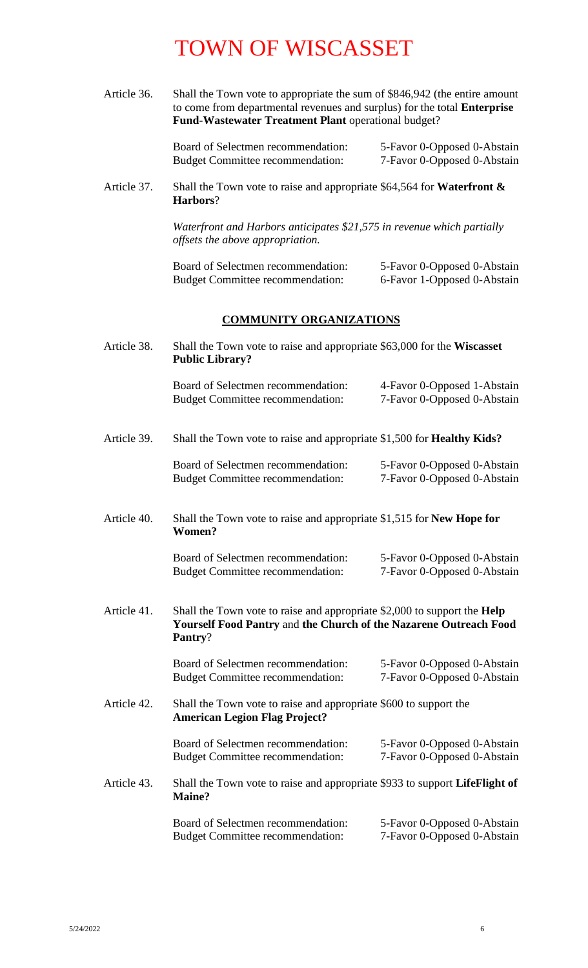Article 36. Shall the Town vote to appropriate the sum of \$846,942 (the entire amount to come from departmental revenues and surplus) for the total **Enterprise**  Fund-Wastewater Treatment Plant operational budget?

> Board of Selectmen recommendation: 5-Favor 0-Opposed 0-Abstain<br>Budget Committee recommendation: 7-Favor 0-Opposed 0-Abstain Budget Committee recommendation:

Article 37. Shall the Town vote to raise and appropriate \$64,564 for **Waterfront & Harbors**?

> *Waterfront and Harbors anticipates \$21,575 in revenue which partially offsets the above appropriation.*

| Board of Selectmen recommendation:      | 5-Favor 0-Opposed 0-Abstain |
|-----------------------------------------|-----------------------------|
| <b>Budget Committee recommendation:</b> | 6-Favor 1-Opposed 0-Abstain |

#### **COMMUNITY ORGANIZATIONS**

| Article 38.<br>Shall the Town vote to raise and appropriate \$63,000 for the Wiscasset<br><b>Public Library?</b> |                                                                                                                                                                  |                                                            |  |
|------------------------------------------------------------------------------------------------------------------|------------------------------------------------------------------------------------------------------------------------------------------------------------------|------------------------------------------------------------|--|
|                                                                                                                  | Board of Selectmen recommendation:<br><b>Budget Committee recommendation:</b>                                                                                    | 4-Favor 0-Opposed 1-Abstain<br>7-Favor 0-Opposed 0-Abstain |  |
| Article 39.                                                                                                      | Shall the Town vote to raise and appropriate \$1,500 for <b>Healthy Kids?</b>                                                                                    |                                                            |  |
|                                                                                                                  | Board of Selectmen recommendation:<br><b>Budget Committee recommendation:</b>                                                                                    | 5-Favor 0-Opposed 0-Abstain<br>7-Favor 0-Opposed 0-Abstain |  |
| Article 40.                                                                                                      | Shall the Town vote to raise and appropriate \$1,515 for New Hope for<br>Women?                                                                                  |                                                            |  |
|                                                                                                                  | Board of Selectmen recommendation:<br><b>Budget Committee recommendation:</b>                                                                                    | 5-Favor 0-Opposed 0-Abstain<br>7-Favor 0-Opposed 0-Abstain |  |
| Article 41.                                                                                                      | Shall the Town vote to raise and appropriate $$2,000$ to support the <b>Help</b><br>Yourself Food Pantry and the Church of the Nazarene Outreach Food<br>Pantry? |                                                            |  |
|                                                                                                                  | Board of Selectmen recommendation:<br><b>Budget Committee recommendation:</b>                                                                                    | 5-Favor 0-Opposed 0-Abstain<br>7-Favor 0-Opposed 0-Abstain |  |
| Article 42.                                                                                                      | Shall the Town vote to raise and appropriate \$600 to support the<br><b>American Legion Flag Project?</b>                                                        |                                                            |  |
|                                                                                                                  | Board of Selectmen recommendation:<br><b>Budget Committee recommendation:</b>                                                                                    | 5-Favor 0-Opposed 0-Abstain<br>7-Favor 0-Opposed 0-Abstain |  |
| Article 43.                                                                                                      | Shall the Town vote to raise and appropriate \$933 to support LifeFlight of<br>Maine?                                                                            |                                                            |  |
|                                                                                                                  | Board of Selectmen recommendation:<br><b>Budget Committee recommendation:</b>                                                                                    | 5-Favor 0-Opposed 0-Abstain<br>7-Favor 0-Opposed 0-Abstain |  |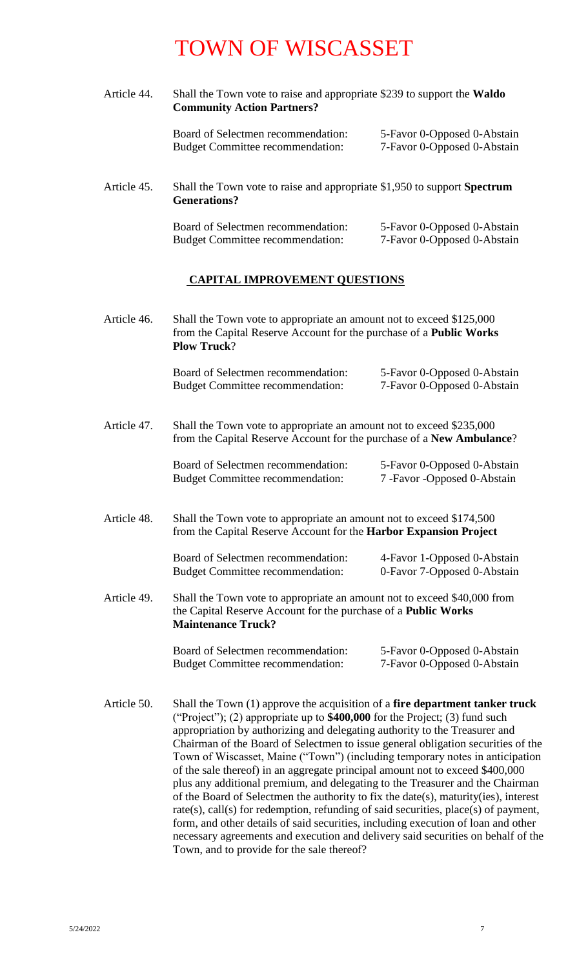| Article 44. | Shall the Town vote to raise and appropriate \$239 to support the <b>Waldo</b><br><b>Community Action Partners?</b>                                                      |                                                            |
|-------------|--------------------------------------------------------------------------------------------------------------------------------------------------------------------------|------------------------------------------------------------|
|             | Board of Selectmen recommendation:<br><b>Budget Committee recommendation:</b>                                                                                            | 5-Favor 0-Opposed 0-Abstain<br>7-Favor 0-Opposed 0-Abstain |
| Article 45. | Shall the Town vote to raise and appropriate \$1,950 to support Spectrum<br><b>Generations?</b>                                                                          |                                                            |
|             | Board of Selectmen recommendation:<br><b>Budget Committee recommendation:</b>                                                                                            | 5-Favor 0-Opposed 0-Abstain<br>7-Favor 0-Opposed 0-Abstain |
|             | <b>CAPITAL IMPROVEMENT QUESTIONS</b>                                                                                                                                     |                                                            |
| Article 46. | Shall the Town vote to appropriate an amount not to exceed \$125,000<br>from the Capital Reserve Account for the purchase of a <b>Public Works</b><br><b>Plow Truck?</b> |                                                            |
|             | Board of Selectmen recommendation:<br><b>Budget Committee recommendation:</b>                                                                                            | 5-Favor 0-Opposed 0-Abstain<br>7-Favor 0-Opposed 0-Abstain |

Article 47. Shall the Town vote to appropriate an amount not to exceed \$235,000 from the Capital Reserve Account for the purchase of a **New Ambulance**?

| Board of Selectmen recommendation:      | 5-Favor 0-Opposed 0-Abstain   |
|-----------------------------------------|-------------------------------|
| <b>Budget Committee recommendation:</b> | 7 - Favor - Opposed 0-Abstain |

Article 48. Shall the Town vote to appropriate an amount not to exceed \$174,500 from the Capital Reserve Account for the **Harbor Expansion Project**

| Board of Selectmen recommendation:      | 4-Favor 1-Opposed 0-Abstain |
|-----------------------------------------|-----------------------------|
| <b>Budget Committee recommendation:</b> | 0-Favor 7-Opposed 0-Abstain |

 Article 49. Shall the Town vote to appropriate an amount not to exceed \$40,000 from the Capital Reserve Account for the purchase of a **Public Works Maintenance Truck?**

> Board of Selectmen recommendation: 5-Favor 0-Opposed 0-Abstain Budget Committee recommendation: 7-Favor 0-Opposed 0-Abstain

Article 50. Shall the Town (1) approve the acquisition of a **fire department tanker truck** ("Project"); (2) appropriate up to **\$400,000** for the Project; (3) fund such appropriation by authorizing and delegating authority to the Treasurer and Chairman of the Board of Selectmen to issue general obligation securities of the Town of Wiscasset, Maine ("Town") (including temporary notes in anticipation of the sale thereof) in an aggregate principal amount not to exceed \$400,000 plus any additional premium, and delegating to the Treasurer and the Chairman of the Board of Selectmen the authority to fix the date(s), maturity(ies), interest rate(s), call(s) for redemption, refunding of said securities, place(s) of payment, form, and other details of said securities, including execution of loan and other necessary agreements and execution and delivery said securities on behalf of the Town, and to provide for the sale thereof?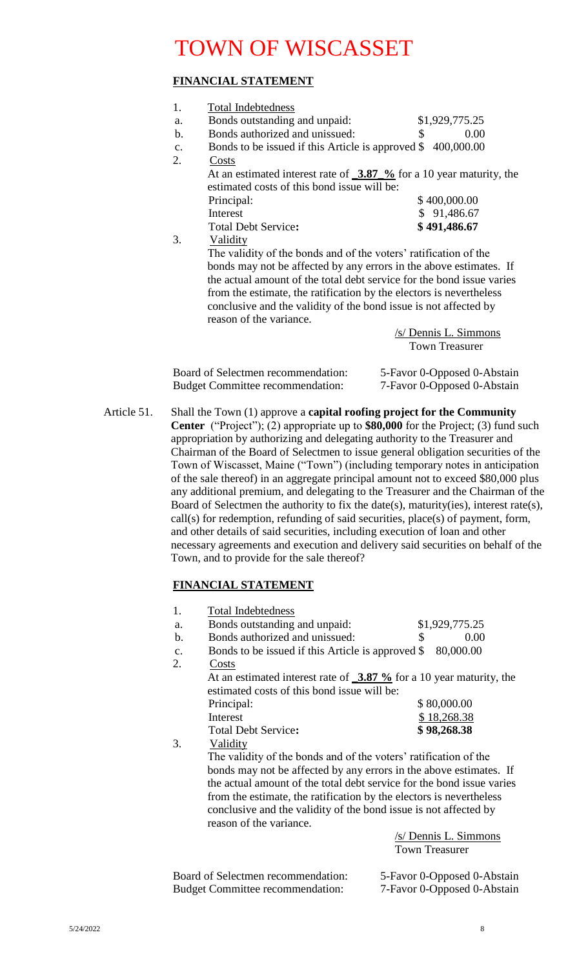### **FINANCIAL STATEMENT**

| 1.                                                                    |                                                                               |                             |  |
|-----------------------------------------------------------------------|-------------------------------------------------------------------------------|-----------------------------|--|
|                                                                       | <b>Total Indebtedness</b>                                                     |                             |  |
| a.                                                                    | Bonds outstanding and unpaid:                                                 | \$1,929,775.25              |  |
| $\mathbf b$ .                                                         | Bonds authorized and unissued:                                                | \$<br>0.00                  |  |
| $\mathbf{C}$ .                                                        | Bonds to be issued if this Article is approved \$400,000.00                   |                             |  |
| 2.                                                                    | Costs                                                                         |                             |  |
|                                                                       | At an estimated interest rate of $\frac{3.87}{6}$ for a 10 year maturity, the |                             |  |
|                                                                       | estimated costs of this bond issue will be:                                   |                             |  |
|                                                                       | Principal:                                                                    | \$400,000.00                |  |
|                                                                       | Interest                                                                      | \$91,486.67                 |  |
|                                                                       | <b>Total Debt Service:</b>                                                    | \$491,486.67                |  |
| 3.                                                                    | Validity                                                                      |                             |  |
|                                                                       | The validity of the bonds and of the voters' ratification of the              |                             |  |
|                                                                       | bonds may not be affected by any errors in the above estimates. If            |                             |  |
| the actual amount of the total debt service for the bond issue varies |                                                                               |                             |  |
|                                                                       | from the estimate, the ratification by the electors is nevertheless           |                             |  |
|                                                                       | conclusive and the validity of the bond issue is not affected by              |                             |  |
|                                                                       | reason of the variance.                                                       |                             |  |
|                                                                       |                                                                               |                             |  |
|                                                                       |                                                                               | /s/ Dennis L. Simmons       |  |
|                                                                       |                                                                               | <b>Town Treasurer</b>       |  |
|                                                                       |                                                                               |                             |  |
|                                                                       | Board of Selectmen recommendation:                                            | 5-Favor 0-Opposed 0-Abstain |  |
|                                                                       | <b>Budget Committee recommendation:</b>                                       | 7-Favor 0-Opposed 0-Abstain |  |
|                                                                       |                                                                               |                             |  |

Article 51. Shall the Town (1) approve a **capital roofing project for the Community Center** ("Project"); (2) appropriate up to **\$80,000** for the Project; (3) fund such appropriation by authorizing and delegating authority to the Treasurer and Chairman of the Board of Selectmen to issue general obligation securities of the Town of Wiscasset, Maine ("Town") (including temporary notes in anticipation of the sale thereof) in an aggregate principal amount not to exceed \$80,000 plus any additional premium, and delegating to the Treasurer and the Chairman of the Board of Selectmen the authority to fix the date(s), maturity(ies), interest rate(s), call(s) for redemption, refunding of said securities, place(s) of payment, form, and other details of said securities, including execution of loan and other necessary agreements and execution and delivery said securities on behalf of the Town, and to provide for the sale thereof?

### **FINANCIAL STATEMENT**

| 1.            | <b>Total Indebtedness</b>                                                                             |                                            |
|---------------|-------------------------------------------------------------------------------------------------------|--------------------------------------------|
| a.            | Bonds outstanding and unpaid:                                                                         | \$1,929,775.25                             |
| $\mathbf b$ . | Bonds authorized and unissued:                                                                        | \$<br>0.00                                 |
| c.            | Bonds to be issued if this Article is approved \$                                                     | 80,000.00                                  |
| 2.            | Costs                                                                                                 |                                            |
|               | At an estimated interest rate of $\frac{3.87 \text{ %}}{0.025 \text{ %}}$ for a 10 year maturity, the |                                            |
|               | estimated costs of this bond issue will be:                                                           |                                            |
|               | Principal:                                                                                            | \$80,000.00                                |
|               | Interest                                                                                              | \$18,268.38                                |
|               | <b>Total Debt Service:</b>                                                                            | \$98,268.38                                |
| 3.            | Validity                                                                                              |                                            |
|               | The validity of the bonds and of the voters' ratification of the                                      |                                            |
|               | bonds may not be affected by any errors in the above estimates. If                                    |                                            |
|               | the actual amount of the total debt service for the bond issue varies                                 |                                            |
|               | from the estimate, the ratification by the electors is nevertheless                                   |                                            |
|               | conclusive and the validity of the bond issue is not affected by                                      |                                            |
|               | reason of the variance.                                                                               |                                            |
|               |                                                                                                       | /s/ Dennis L. Simmons                      |
|               |                                                                                                       | <b>Town Treasurer</b>                      |
|               |                                                                                                       |                                            |
|               | $\mathbf{D}_{\text{cond}}$ of $\mathbf{C}_{\text{e}}$ decompared and $\mathbf{L}_{\text{c}}$          | $\epsilon$ Force $0$ One seed $0$ Abstrain |

Board of Selectmen recommendation: 5-Favor 0-Opposed 0-Abstain Budget Committee recommendation: 7-Favor 0-Opposed 0-Abstain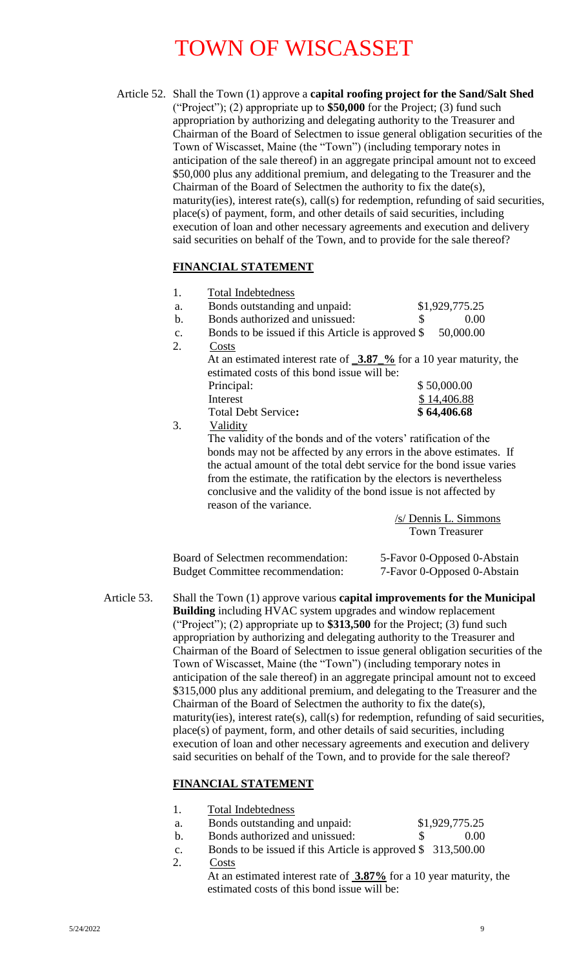Article 52. Shall the Town (1) approve a **capital roofing project for the Sand/Salt Shed** ("Project"); (2) appropriate up to **\$50,000** for the Project; (3) fund such appropriation by authorizing and delegating authority to the Treasurer and Chairman of the Board of Selectmen to issue general obligation securities of the Town of Wiscasset, Maine (the "Town") (including temporary notes in anticipation of the sale thereof) in an aggregate principal amount not to exceed \$50,000 plus any additional premium, and delegating to the Treasurer and the Chairman of the Board of Selectmen the authority to fix the date(s), maturity(ies), interest rate(s), call(s) for redemption, refunding of said securities, place(s) of payment, form, and other details of said securities, including execution of loan and other necessary agreements and execution and delivery said securities on behalf of the Town, and to provide for the sale thereof?

### **FINANCIAL STATEMENT**

|                | <b>Total Indebtedness</b>                                                                            |                |
|----------------|------------------------------------------------------------------------------------------------------|----------------|
| a.             | Bonds outstanding and unpaid:                                                                        | \$1,929,775.25 |
| b.             | Bonds authorized and unissued:                                                                       | 0.00<br>\$     |
| $\mathbf{C}$ . | Bonds to be issued if this Article is approved \$                                                    | 50,000.00      |
| 2.             | Costs                                                                                                |                |
|                | At an estimated interest rate of $\frac{3.87 \text{ %}}{0.25 \text{ %}}$ for a 10 year maturity, the |                |
|                | estimated costs of this bond issue will be:                                                          |                |
|                | Principal:                                                                                           | \$50,000.00    |
|                | Interest                                                                                             | \$14,406.88    |
|                | <b>Total Debt Service:</b>                                                                           | \$64,406.68    |
| 3.             | Validity                                                                                             |                |
|                | The validity of the bonds and of the voters' ratification of the                                     |                |

bonds may not be affected by any errors in the above estimates. If the actual amount of the total debt service for the bond issue varies from the estimate, the ratification by the electors is nevertheless conclusive and the validity of the bond issue is not affected by reason of the variance.

> /s/ Dennis L. Simmons Town Treasurer

| Board of Selectmen recommendation:      | 5-Favor 0-Opposed 0-Abstain |
|-----------------------------------------|-----------------------------|
| <b>Budget Committee recommendation:</b> | 7-Favor 0-Opposed 0-Abstain |

Article 53. Shall the Town (1) approve various **capital improvements for the Municipal Building** including HVAC system upgrades and window replacement ("Project"); (2) appropriate up to **\$313,500** for the Project; (3) fund such appropriation by authorizing and delegating authority to the Treasurer and Chairman of the Board of Selectmen to issue general obligation securities of the Town of Wiscasset, Maine (the "Town") (including temporary notes in anticipation of the sale thereof) in an aggregate principal amount not to exceed \$315,000 plus any additional premium, and delegating to the Treasurer and the Chairman of the Board of Selectmen the authority to fix the date(s), maturity(ies), interest rate(s), call(s) for redemption, refunding of said securities, place(s) of payment, form, and other details of said securities, including execution of loan and other necessary agreements and execution and delivery said securities on behalf of the Town, and to provide for the sale thereof?

### **FINANCIAL STATEMENT**

| <b>Total Indebtedness</b> |  |
|---------------------------|--|
|                           |  |

- a. Bonds outstanding and unpaid: \$1,929,775.25
- b. Bonds authorized and unissued: \$ 0.00
- c. Bonds to be issued if this Article is approved \$ 313,500.00 2. Costs
	- At an estimated interest rate of **3.87%** for a 10 year maturity, the estimated costs of this bond issue will be: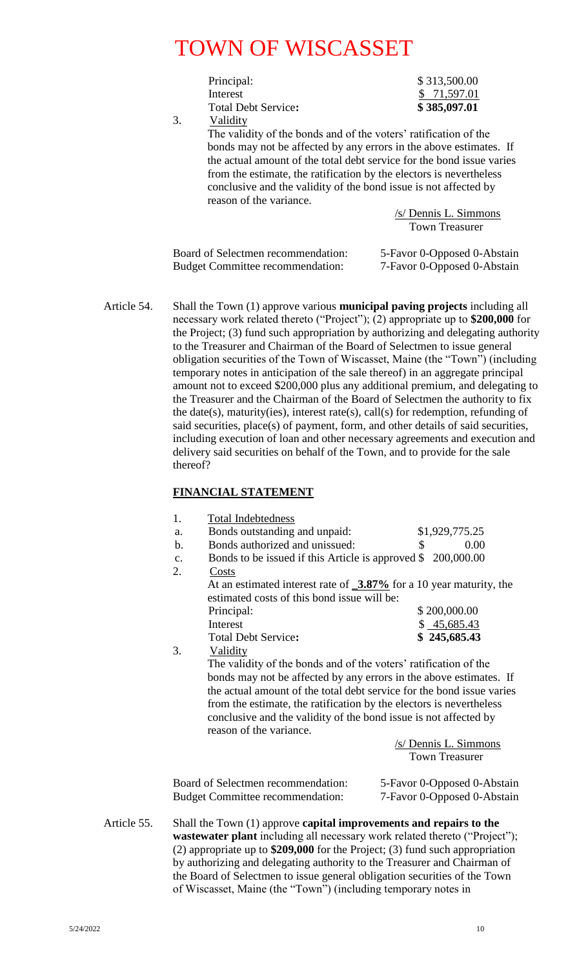Principal: \$ 313,500.00 Interest \$ 71,597.01 Total Debt Service**: \$ 385,097.01**

3. Validity

The validity of the bonds and of the voters' ratification of the bonds may not be affected by any errors in the above estimates. If the actual amount of the total debt service for the bond issue varies from the estimate, the ratification by the electors is nevertheless conclusive and the validity of the bond issue is not affected by reason of the variance.

> /s/ Dennis L. Simmons Town Treasurer

Board of Selectmen recommendation: 5-Favor 0-Opposed 0-Abstain Budget Committee recommendation: 7-Favor 0-Opposed 0-Abstain

Article 54. Shall the Town (1) approve various **municipal paving projects** including all necessary work related thereto ("Project"); (2) appropriate up to **\$200,000** for the Project; (3) fund such appropriation by authorizing and delegating authority to the Treasurer and Chairman of the Board of Selectmen to issue general obligation securities of the Town of Wiscasset, Maine (the "Town") (including temporary notes in anticipation of the sale thereof) in an aggregate principal amount not to exceed \$200,000 plus any additional premium, and delegating to the Treasurer and the Chairman of the Board of Selectmen the authority to fix the date(s), maturity(ies), interest rate(s), call(s) for redemption, refunding of said securities, place(s) of payment, form, and other details of said securities, including execution of loan and other necessary agreements and execution and delivery said securities on behalf of the Town, and to provide for the sale thereof?

### **FINANCIAL STATEMENT**

|             | 1.             | <b>Total Indebtedness</b>                                                                                                                                       |                                                                                                                                                                                                                                                                      |  |
|-------------|----------------|-----------------------------------------------------------------------------------------------------------------------------------------------------------------|----------------------------------------------------------------------------------------------------------------------------------------------------------------------------------------------------------------------------------------------------------------------|--|
|             | a.             | Bonds outstanding and unpaid:                                                                                                                                   | \$1,929,775.25                                                                                                                                                                                                                                                       |  |
|             | $\mathbf b$ .  | Bonds authorized and unissued:                                                                                                                                  | 0.00<br>\$                                                                                                                                                                                                                                                           |  |
|             | c.             | Bonds to be issued if this Article is approved \$200,000.00                                                                                                     |                                                                                                                                                                                                                                                                      |  |
|             | 2.<br>Costs    |                                                                                                                                                                 |                                                                                                                                                                                                                                                                      |  |
|             | Principal:     | estimated costs of this bond issue will be:                                                                                                                     | At an estimated interest rate of $\frac{3.87\%}{2}$ for a 10 year maturity, the<br>\$200,000.00                                                                                                                                                                      |  |
|             | Interest       |                                                                                                                                                                 | \$45,685.43                                                                                                                                                                                                                                                          |  |
|             |                | <b>Total Debt Service:</b>                                                                                                                                      |                                                                                                                                                                                                                                                                      |  |
|             | 3.<br>Validity |                                                                                                                                                                 | \$245,685.43                                                                                                                                                                                                                                                         |  |
|             |                | The validity of the bonds and of the voters' ratification of the<br>conclusive and the validity of the bond issue is not affected by<br>reason of the variance. | bonds may not be affected by any errors in the above estimates. If<br>the actual amount of the total debt service for the bond issue varies<br>from the estimate, the ratification by the electors is nevertheless<br>/s/ Dennis L. Simmons<br><b>Town Treasurer</b> |  |
|             |                | Board of Selectmen recommendation:<br><b>Budget Committee recommendation:</b>                                                                                   | 5-Favor 0-Opposed 0-Abstain<br>7-Favor 0-Opposed 0-Abstain                                                                                                                                                                                                           |  |
| Article 55. |                |                                                                                                                                                                 | Shall the Town (1) approve capital improvements and repairs to the<br>wastewater plant including all necessary work related thereto ("Project");<br>(2) appropriate up to $$209,000$ for the Project; (3) fund such appropriation                                    |  |

by authorizing and delegating authority to the Treasurer and Chairman of the Board of Selectmen to issue general obligation securities of the Town of Wiscasset, Maine (the "Town") (including temporary notes in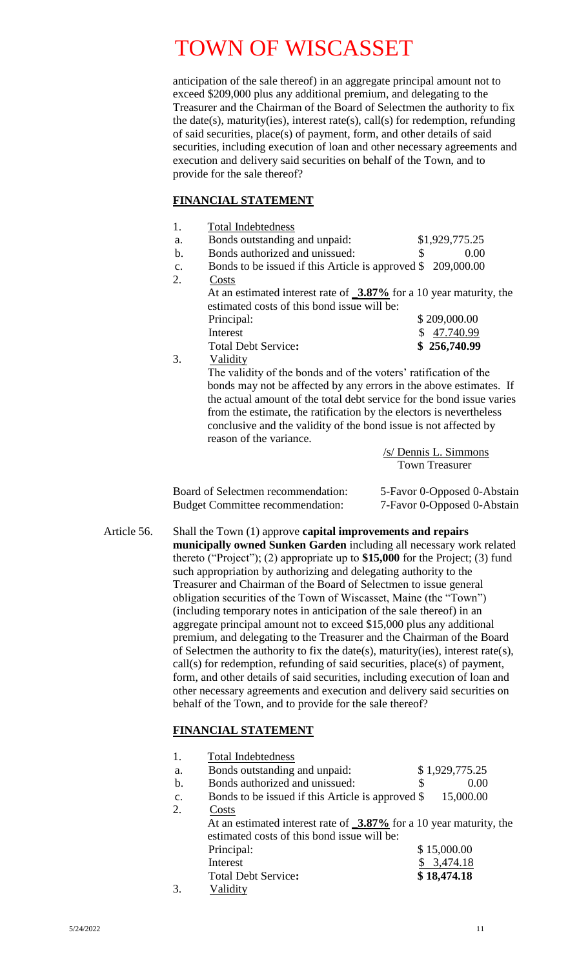anticipation of the sale thereof) in an aggregate principal amount not to exceed \$209,000 plus any additional premium, and delegating to the Treasurer and the Chairman of the Board of Selectmen the authority to fix the date(s), maturity(ies), interest rate(s), call(s) for redemption, refunding of said securities, place(s) of payment, form, and other details of said securities, including execution of loan and other necessary agreements and execution and delivery said securities on behalf of the Town, and to provide for the sale thereof?

#### **FINANCIAL STATEMENT**

| 1.            | <b>Total Indebtedness</b>                                                       |                |
|---------------|---------------------------------------------------------------------------------|----------------|
| a.            | Bonds outstanding and unpaid:                                                   | \$1,929,775.25 |
| $\mathbf b$ . | Bonds authorized and unissued:                                                  | \$<br>0.00     |
| $C_{\bullet}$ | Bonds to be issued if this Article is approved \$209,000.00                     |                |
| 2.            | Costs                                                                           |                |
|               | At an estimated interest rate of $\frac{3.87\%}{2}$ for a 10 year maturity, the |                |
|               | estimated costs of this bond issue will be:                                     |                |
|               | Principal:                                                                      | \$209,000.00   |
|               | Interest                                                                        | \$47.740.99    |
|               | Total Debt Service:                                                             | \$256,740.99   |
| 3.            | Validity                                                                        |                |
|               | The validity of the bonds and of the voters' ratification of the                |                |
|               | bonds may not be affected by any errors in the above estimates. If              |                |
|               | the actual amount of the total debt service for the bond issue varies           |                |
|               | from the estimate, the ratification by the electors is nevertheless             |                |
|               | conclusive and the validity of the bond issue is not affected by                |                |
|               | reason of the variance.                                                         |                |

| $/s$ Dennis L. Simmons |
|------------------------|
| Town Treasurer         |

| Board of Selectmen recommendation:      | 5-Favor 0-Opposed 0-Abstain |
|-----------------------------------------|-----------------------------|
| <b>Budget Committee recommendation:</b> | 7-Favor 0-Opposed 0-Abstain |

Article 56. Shall the Town (1) approve **capital improvements and repairs municipally owned Sunken Garden** including all necessary work related thereto ("Project"); (2) appropriate up to **\$15,000** for the Project; (3) fund such appropriation by authorizing and delegating authority to the Treasurer and Chairman of the Board of Selectmen to issue general obligation securities of the Town of Wiscasset, Maine (the "Town") (including temporary notes in anticipation of the sale thereof) in an aggregate principal amount not to exceed \$15,000 plus any additional premium, and delegating to the Treasurer and the Chairman of the Board of Selectmen the authority to fix the date(s), maturity(ies), interest rate(s), call(s) for redemption, refunding of said securities, place(s) of payment, form, and other details of said securities, including execution of loan and other necessary agreements and execution and delivery said securities on behalf of the Town, and to provide for the sale thereof?

### **FINANCIAL STATEMENT**

|    | <b>Total Indebtedness</b>                                                       |                |  |
|----|---------------------------------------------------------------------------------|----------------|--|
|    |                                                                                 |                |  |
| a. | Bonds outstanding and unpaid:                                                   | \$1,929,775.25 |  |
| b. | Bonds authorized and unissued:                                                  | \$<br>0.00     |  |
| c. | Bonds to be issued if this Article is approved \$                               | 15,000.00      |  |
|    | Costs                                                                           |                |  |
|    | At an estimated interest rate of $\frac{3.87\%}{2}$ for a 10 year maturity, the |                |  |
|    | estimated costs of this bond issue will be:                                     |                |  |
|    | Principal:                                                                      | \$15,000.00    |  |
|    | Interest                                                                        | 3,474.18       |  |
|    | <b>Total Debt Service:</b>                                                      | \$18,474.18    |  |
|    | Validity                                                                        |                |  |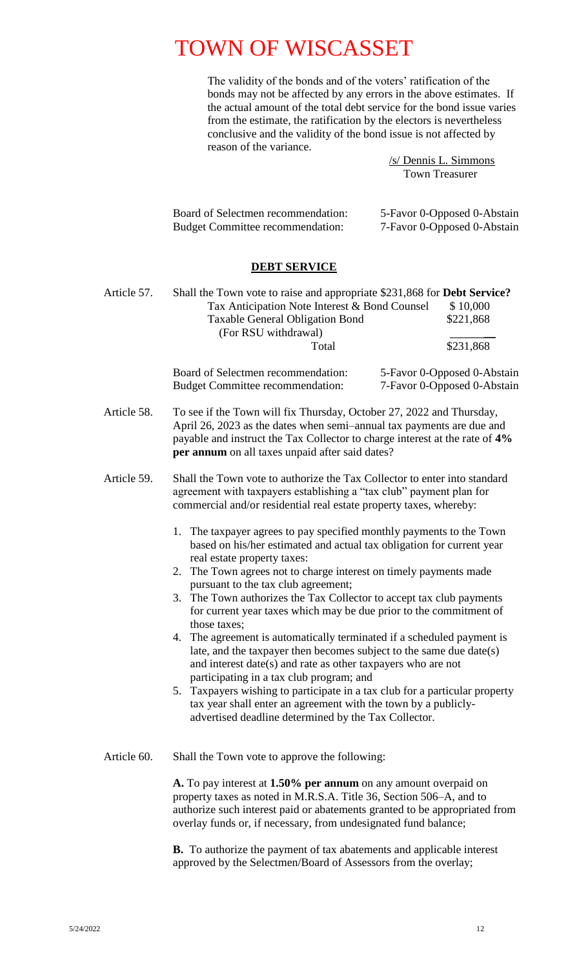The validity of the bonds and of the voters' ratification of the bonds may not be affected by any errors in the above estimates. If the actual amount of the total debt service for the bond issue varies from the estimate, the ratification by the electors is nevertheless conclusive and the validity of the bond issue is not affected by reason of the variance.

> /s/ Dennis L. Simmons Town Treasurer

| Board of Selectmen recommendation:      | 5-Favor 0-Opposed 0-Abstain |
|-----------------------------------------|-----------------------------|
| <b>Budget Committee recommendation:</b> | 7-Favor 0-Opposed 0-Abstain |

#### **DEBT SERVICE**

Article 57. Shall the Town vote to raise and appropriate \$231,868 for **Debt Service?** Tax Anticipation Note Interest & Bond Counsel \$10,000 Taxable General Obligation Bond \$221,868 (For RSU withdrawal) \_\_ Total \$231,868

| Board of Selectmen recommendation:      | 5-Favor 0-Opposed 0-Abstain |
|-----------------------------------------|-----------------------------|
| <b>Budget Committee recommendation:</b> | 7-Favor 0-Opposed 0-Abstain |

Article 58. To see if the Town will fix Thursday, October 27, 2022 and Thursday, April 26, 2023 as the dates when semi–annual tax payments are due and payable and instruct the Tax Collector to charge interest at the rate of **4% per annum** on all taxes unpaid after said dates?

Article 59. Shall the Town vote to authorize the Tax Collector to enter into standard agreement with taxpayers establishing a "tax club" payment plan for commercial and/or residential real estate property taxes, whereby:

- 1. The taxpayer agrees to pay specified monthly payments to the Town based on his/her estimated and actual tax obligation for current year real estate property taxes:
- 2. The Town agrees not to charge interest on timely payments made pursuant to the tax club agreement;
- 3. The Town authorizes the Tax Collector to accept tax club payments for current year taxes which may be due prior to the commitment of those taxes;
- 4. The agreement is automatically terminated if a scheduled payment is late, and the taxpayer then becomes subject to the same due date(s) and interest date(s) and rate as other taxpayers who are not participating in a tax club program; and
- 5. Taxpayers wishing to participate in a tax club for a particular property tax year shall enter an agreement with the town by a publiclyadvertised deadline determined by the Tax Collector.
- Article 60. Shall the Town vote to approve the following:

**A.** To pay interest at **1.50% per annum** on any amount overpaid on property taxes as noted in M.R.S.A. Title 36, Section 506–A, and to authorize such interest paid or abatements granted to be appropriated from overlay funds or, if necessary, from undesignated fund balance;

**B.** To authorize the payment of tax abatements and applicable interest approved by the Selectmen/Board of Assessors from the overlay;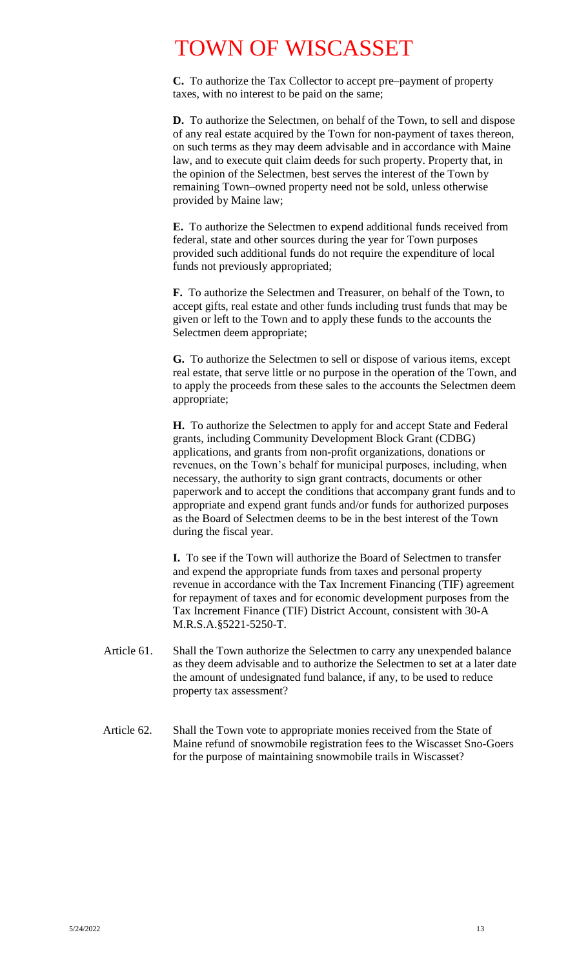**C.** To authorize the Tax Collector to accept pre–payment of property taxes, with no interest to be paid on the same;

**D.** To authorize the Selectmen, on behalf of the Town, to sell and dispose of any real estate acquired by the Town for non-payment of taxes thereon, on such terms as they may deem advisable and in accordance with Maine law, and to execute quit claim deeds for such property. Property that, in the opinion of the Selectmen, best serves the interest of the Town by remaining Town–owned property need not be sold, unless otherwise provided by Maine law;

**E.** To authorize the Selectmen to expend additional funds received from federal, state and other sources during the year for Town purposes provided such additional funds do not require the expenditure of local funds not previously appropriated;

**F.** To authorize the Selectmen and Treasurer, on behalf of the Town, to accept gifts, real estate and other funds including trust funds that may be given or left to the Town and to apply these funds to the accounts the Selectmen deem appropriate;

**G.** To authorize the Selectmen to sell or dispose of various items, except real estate, that serve little or no purpose in the operation of the Town, and to apply the proceeds from these sales to the accounts the Selectmen deem appropriate;

**H.** To authorize the Selectmen to apply for and accept State and Federal grants, including Community Development Block Grant (CDBG) applications, and grants from non-profit organizations, donations or revenues, on the Town's behalf for municipal purposes, including, when necessary, the authority to sign grant contracts, documents or other paperwork and to accept the conditions that accompany grant funds and to appropriate and expend grant funds and/or funds for authorized purposes as the Board of Selectmen deems to be in the best interest of the Town during the fiscal year.

**I.** To see if the Town will authorize the Board of Selectmen to transfer and expend the appropriate funds from taxes and personal property revenue in accordance with the Tax Increment Financing (TIF) agreement for repayment of taxes and for economic development purposes from the Tax Increment Finance (TIF) District Account, consistent with 30-A M.R.S.A.§5221-5250-T.

- Article 61.Shall the Town authorize the Selectmen to carry any unexpended balance as they deem advisable and to authorize the Selectmen to set at a later date the amount of undesignated fund balance, if any, to be used to reduce property tax assessment?
- Article 62. Shall the Town vote to appropriate monies received from the State of Maine refund of snowmobile registration fees to the Wiscasset Sno-Goers for the purpose of maintaining snowmobile trails in Wiscasset?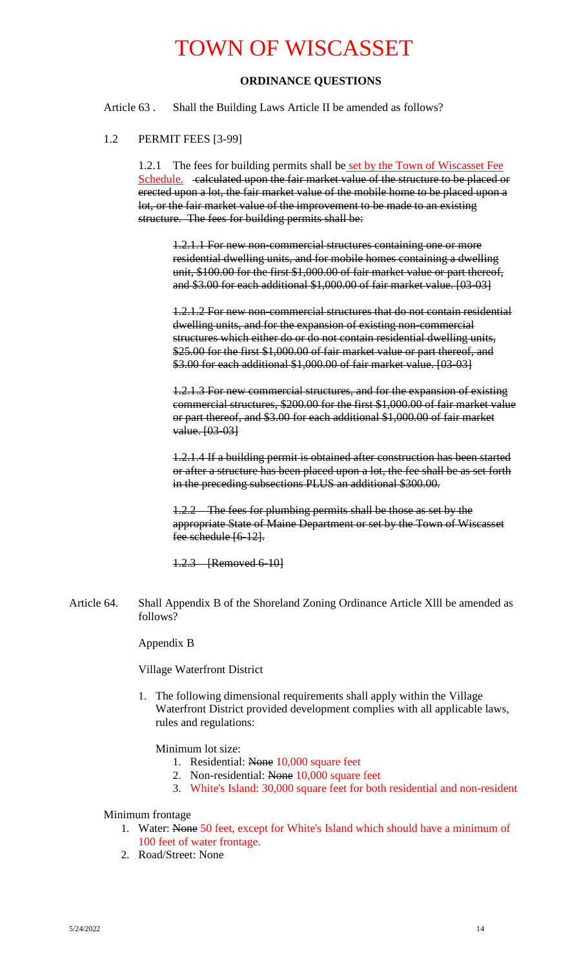### **ORDINANCE QUESTIONS**

Article 63 . Shall the Building Laws Article II be amended as follows?

#### 1.2 PERMIT FEES [3-99]

1.2.1 The fees for building permits shall be set by the Town of Wiscasset Fee Schedule. calculated upon the fair market value of the structure to be placed or erected upon a lot, the fair market value of the mobile home to be placed upon a lot, or the fair market value of the improvement to be made to an existing structure. The fees for building permits shall be:

1.2.1.1 For new non-commercial structures containing one or more residential dwelling units, and for mobile homes containing a dwelling unit, \$100.00 for the first \$1,000.00 of fair market value or part thereof, and \$3.00 for each additional \$1,000.00 of fair market value. [03-03]

1.2.1.2 For new non-commercial structures that do not contain residential dwelling units, and for the expansion of existing non-commercial structures which either do or do not contain residential dwelling units, \$25.00 for the first \$1,000.00 of fair market value or part thereof, and \$3.00 for each additional \$1,000.00 of fair market value. [03-03]

1.2.1.3 For new commercial structures, and for the expansion of existing commercial structures, \$200.00 for the first \$1,000.00 of fair market value or part thereof, and \$3.00 for each additional \$1,000.00 of fair market value. [03-03]

1.2.1.4 If a building permit is obtained after construction has been started or after a structure has been placed upon a lot, the fee shall be as set forth in the preceding subsections PLUS an additional \$300.00.

1.2.2 The fees for plumbing permits shall be those as set by the appropriate State of Maine Department or set by the Town of Wiscasset fee schedule [6-12].

1.2.3 [Removed 6-10]

Article 64. Shall Appendix B of the Shoreland Zoning Ordinance Article Xlll be amended as follows?

Appendix B

Village Waterfront District

1. The following dimensional requirements shall apply within the Village Waterfront District provided development complies with all applicable laws, rules and regulations:

Minimum lot size:

- 1. Residential: None 10,000 square feet
- 2. Non-residential: None 10,000 square feet
- 3. White's Island: 30,000 square feet for both residential and non-resident

#### Minimum frontage

- 1. Water: None 50 feet, except for White's Island which should have a minimum of 100 feet of water frontage.
- 2. Road/Street: None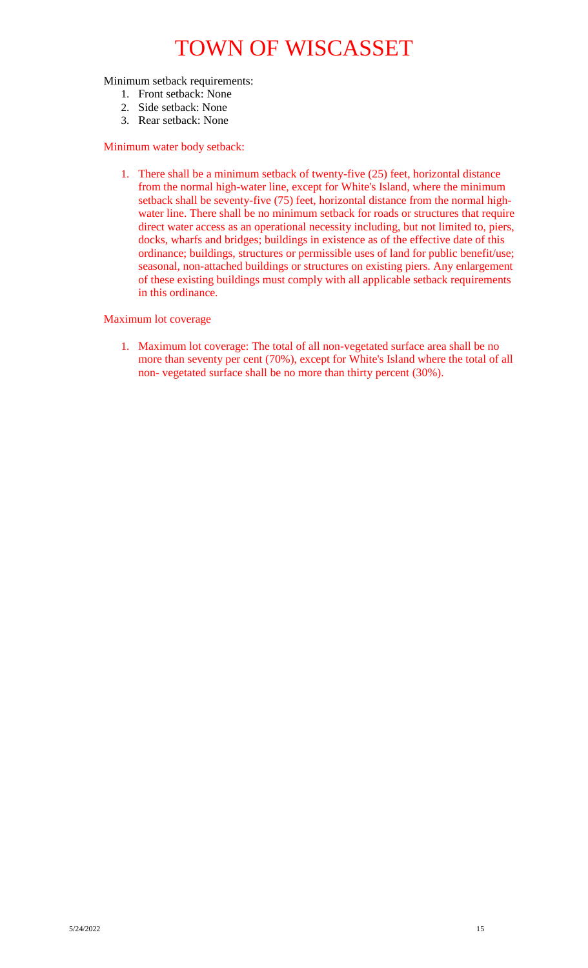Minimum setback requirements:

- 1. Front setback: None
- 2. Side setback: None
- 3. Rear setback: None

#### Minimum water body setback:

1. There shall be a minimum setback of twenty-five (25) feet, horizontal distance from the normal high-water line, except for White's Island, where the minimum setback shall be seventy-five (75) feet, horizontal distance from the normal highwater line. There shall be no minimum setback for roads or structures that require direct water access as an operational necessity including, but not limited to, piers, docks, wharfs and bridges; buildings in existence as of the effective date of this ordinance; buildings, structures or permissible uses of land for public benefit/use; seasonal, non-attached buildings or structures on existing piers. Any enlargement of these existing buildings must comply with all applicable setback requirements in this ordinance.

#### Maximum lot coverage

1. Maximum lot coverage: The total of all non-vegetated surface area shall be no more than seventy per cent (70%), except for White's Island where the total of all non- vegetated surface shall be no more than thirty percent (30%).